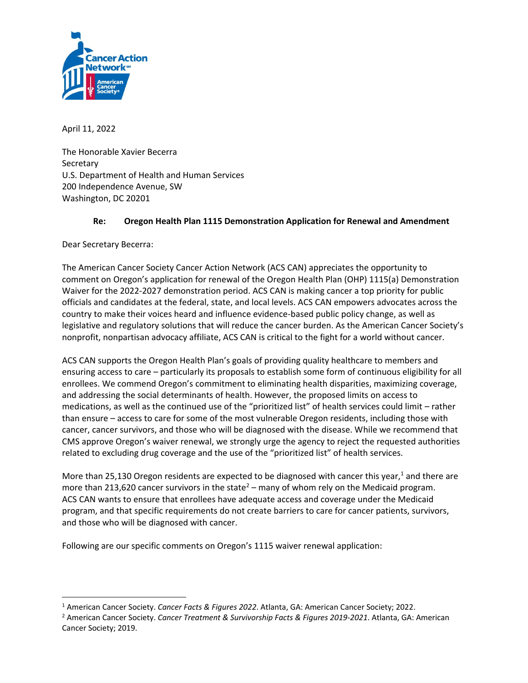

April 11, 2022

The Honorable Xavier Becerra **Secretary** U.S. Department of Health and Human Services 200 Independence Avenue, SW Washington, DC 20201

# **Re: Oregon Health Plan 1115 Demonstration Application for Renewal and Amendment**

Dear Secretary Becerra:

The American Cancer Society Cancer Action Network (ACS CAN) appreciates the opportunity to comment on Oregon's application for renewal of the Oregon Health Plan (OHP) 1115(a) Demonstration Waiver for the 2022-2027 demonstration period. ACS CAN is making cancer a top priority for public officials and candidates at the federal, state, and local levels. ACS CAN empowers advocates across the country to make their voices heard and influence evidence-based public policy change, as well as legislative and regulatory solutions that will reduce the cancer burden. As the American Cancer Society's nonprofit, nonpartisan advocacy affiliate, ACS CAN is critical to the fight for a world without cancer.

ACS CAN supports the Oregon Health Plan's goals of providing quality healthcare to members and ensuring access to care – particularly its proposals to establish some form of continuous eligibility for all enrollees. We commend Oregon's commitment to eliminating health disparities, maximizing coverage, and addressing the social determinants of health. However, the proposed limits on access to medications, as well as the continued use of the "prioritized list" of health services could limit – rather than ensure – access to care for some of the most vulnerable Oregon residents, including those with cancer, cancer survivors, and those who will be diagnosed with the disease. While we recommend that CMS approve Oregon's waiver renewal, we strongly urge the agency to reject the requested authorities related to excluding drug coverage and the use of the "prioritized list" of health services.

More than 25,130 Oregon residents are expected to be diagnosed with cancer this year,<sup>1</sup> and there are more than 213,620 cancer survivors in the state<sup>2</sup> – many of whom rely on the Medicaid program. ACS CAN wants to ensure that enrollees have adequate access and coverage under the Medicaid program, and that specific requirements do not create barriers to care for cancer patients, survivors, and those who will be diagnosed with cancer.

Following are our specific comments on Oregon's 1115 waiver renewal application:

<sup>1</sup> American Cancer Society. *Cancer Facts & Figures 2022*. Atlanta, GA: American Cancer Society; 2022.

<sup>2</sup> American Cancer Society. *Cancer Treatment & Survivorship Facts & Figures 2019-2021*. Atlanta, GA: American Cancer Society; 2019.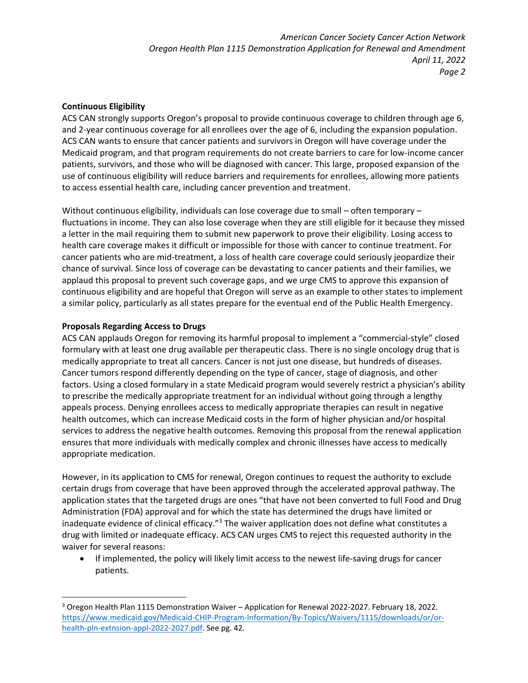*American Cancer Society Cancer Action Network Oregon Health Plan 1115 Demonstration Application for Renewal and Amendment April 11, 2022 Page 2*

## **Continuous Eligibility**

ACS CAN strongly supports Oregon's proposal to provide continuous coverage to children through age 6, and 2-year continuous coverage for all enrollees over the age of 6, including the expansion population. ACS CAN wants to ensure that cancer patients and survivors in Oregon will have coverage under the Medicaid program, and that program requirements do not create barriers to care for low-income cancer patients, survivors, and those who will be diagnosed with cancer. This large, proposed expansion of the use of continuous eligibility will reduce barriers and requirements for enrollees, allowing more patients to access essential health care, including cancer prevention and treatment.

Without continuous eligibility, individuals can lose coverage due to small – often temporary – fluctuations in income. They can also lose coverage when they are still eligible for it because they missed a letter in the mail requiring them to submit new paperwork to prove their eligibility. Losing access to health care coverage makes it difficult or impossible for those with cancer to continue treatment. For cancer patients who are mid-treatment, a loss of health care coverage could seriously jeopardize their chance of survival. Since loss of coverage can be devastating to cancer patients and their families, we applaud this proposal to prevent such coverage gaps, and we urge CMS to approve this expansion of continuous eligibility and are hopeful that Oregon will serve as an example to other states to implement a similar policy, particularly as all states prepare for the eventual end of the Public Health Emergency.

### **Proposals Regarding Access to Drugs**

ACS CAN applauds Oregon for removing its harmful proposal to implement a "commercial-style" closed formulary with at least one drug available per therapeutic class. There is no single oncology drug that is medically appropriate to treat all cancers. Cancer is not just one disease, but hundreds of diseases. Cancer tumors respond differently depending on the type of cancer, stage of diagnosis, and other factors. Using a closed formulary in a state Medicaid program would severely restrict a physician's ability to prescribe the medically appropriate treatment for an individual without going through a lengthy appeals process. Denying enrollees access to medically appropriate therapies can result in negative health outcomes, which can increase Medicaid costs in the form of higher physician and/or hospital services to address the negative health outcomes. Removing this proposal from the renewal application ensures that more individuals with medically complex and chronic illnesses have access to medically appropriate medication.

However, in its application to CMS for renewal, Oregon continues to request the authority to exclude certain drugs from coverage that have been approved through the accelerated approval pathway. The application states that the targeted drugs are ones "that have not been converted to full Food and Drug Administration (FDA) approval and for which the state has determined the drugs have limited or inadequate evidence of clinical efficacy."<sup>3</sup> The waiver application does not define what constitutes a drug with limited or inadequate efficacy. ACS CAN urges CMS to reject this requested authority in the waiver for several reasons:

• If implemented, the policy will likely limit access to the newest life-saving drugs for cancer patients.

<sup>3</sup> Oregon Health Plan 1115 Demonstration Waiver – Application for Renewal 2022-2027. February 18, 2022. [https://www.medicaid.gov/Medicaid-CHIP-Program-Information/By-Topics/Waivers/1115/downloads/or/or](https://www.medicaid.gov/Medicaid-CHIP-Program-Information/By-Topics/Waivers/1115/downloads/or/or-health-pln-extnsion-appl-2022-2027.pdf)[health-pln-extnsion-appl-2022-2027.pdf.](https://www.medicaid.gov/Medicaid-CHIP-Program-Information/By-Topics/Waivers/1115/downloads/or/or-health-pln-extnsion-appl-2022-2027.pdf) See pg. 42.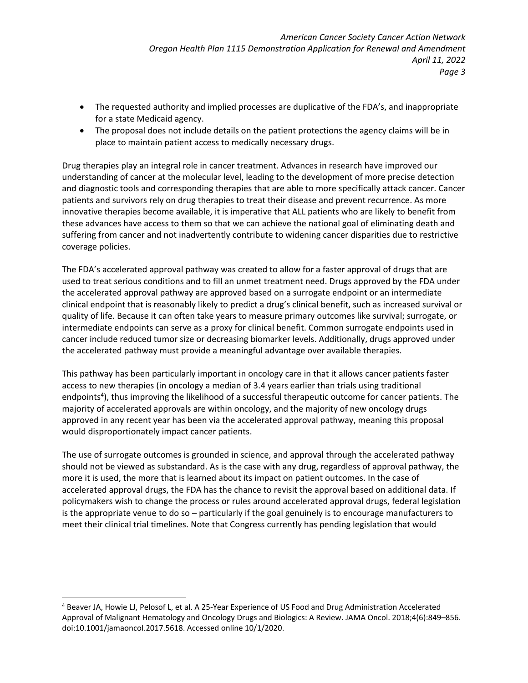- The requested authority and implied processes are duplicative of the FDA's, and inappropriate for a state Medicaid agency.
- The proposal does not include details on the patient protections the agency claims will be in place to maintain patient access to medically necessary drugs.

Drug therapies play an integral role in cancer treatment. Advances in research have improved our understanding of cancer at the molecular level, leading to the development of more precise detection and diagnostic tools and corresponding therapies that are able to more specifically attack cancer. Cancer patients and survivors rely on drug therapies to treat their disease and prevent recurrence. As more innovative therapies become available, it is imperative that ALL patients who are likely to benefit from these advances have access to them so that we can achieve the national goal of eliminating death and suffering from cancer and not inadvertently contribute to widening cancer disparities due to restrictive coverage policies.

The FDA's accelerated approval pathway was created to allow for a faster approval of drugs that are used to treat serious conditions and to fill an unmet treatment need. Drugs approved by the FDA under the accelerated approval pathway are approved based on a surrogate endpoint or an intermediate clinical endpoint that is reasonably likely to predict a drug's clinical benefit, such as increased survival or quality of life. Because it can often take years to measure primary outcomes like survival; surrogate, or intermediate endpoints can serve as a proxy for clinical benefit. Common surrogate endpoints used in cancer include reduced tumor size or decreasing biomarker levels. Additionally, drugs approved under the accelerated pathway must provide a meaningful advantage over available therapies.

This pathway has been particularly important in oncology care in that it allows cancer patients faster access to new therapies (in oncology a median of 3.4 years earlier than trials using traditional endpoints<sup>4</sup>), thus improving the likelihood of a successful therapeutic outcome for cancer patients. The majority of accelerated approvals are within oncology, and the majority of new oncology drugs approved in any recent year has been via the accelerated approval pathway, meaning this proposal would disproportionately impact cancer patients.

The use of surrogate outcomes is grounded in science, and approval through the accelerated pathway should not be viewed as substandard. As is the case with any drug, regardless of approval pathway, the more it is used, the more that is learned about its impact on patient outcomes. In the case of accelerated approval drugs, the FDA has the chance to revisit the approval based on additional data. If policymakers wish to change the process or rules around accelerated approval drugs, federal legislation is the appropriate venue to do so – particularly if the goal genuinely is to encourage manufacturers to meet their clinical trial timelines. Note that Congress currently has pending legislation that would

<sup>4</sup> Beaver JA, Howie LJ, Pelosof L, et al. A 25-Year Experience of US Food and Drug Administration Accelerated Approval of Malignant Hematology and Oncology Drugs and Biologics: A Review. JAMA Oncol. 2018;4(6):849–856. doi:10.1001/jamaoncol.2017.5618. Accessed online 10/1/2020.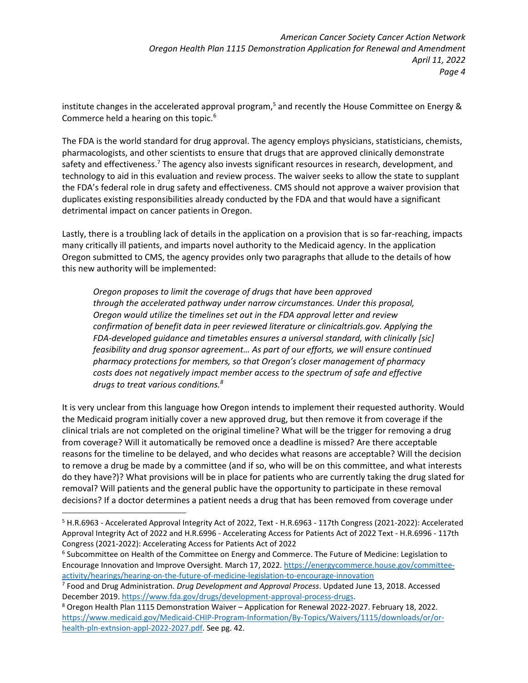institute changes in the accelerated approval program,<sup>5</sup> and recently the House Committee on Energy & Commerce held a hearing on this topic.<sup>6</sup>

The FDA is the world standard for drug approval. The agency employs physicians, statisticians, chemists, pharmacologists, and other scientists to ensure that drugs that are approved clinically demonstrate safety and effectiveness.<sup>7</sup> The agency also invests significant resources in research, development, and technology to aid in this evaluation and review process. The waiver seeks to allow the state to supplant the FDA's federal role in drug safety and effectiveness. CMS should not approve a waiver provision that duplicates existing responsibilities already conducted by the FDA and that would have a significant detrimental impact on cancer patients in Oregon.

Lastly, there is a troubling lack of details in the application on a provision that is so far-reaching, impacts many critically ill patients, and imparts novel authority to the Medicaid agency. In the application Oregon submitted to CMS, the agency provides only two paragraphs that allude to the details of how this new authority will be implemented:

*Oregon proposes to limit the coverage of drugs that have been approved through the accelerated pathway under narrow circumstances. Under this proposal, Oregon would utilize the timelines set out in the FDA approval letter and review confirmation of benefit data in peer reviewed literature or clinicaltrials.gov. Applying the FDA-developed guidance and timetables ensures a universal standard, with clinically [sic] feasibility and drug sponsor agreement… As part of our efforts, we will ensure continued pharmacy protections for members, so that Oregon's closer management of pharmacy costs does not negatively impact member access to the spectrum of safe and effective drugs to treat various conditions.<sup>8</sup>*

It is very unclear from this language how Oregon intends to implement their requested authority. Would the Medicaid program initially cover a new approved drug, but then remove it from coverage if the clinical trials are not completed on the original timeline? What will be the trigger for removing a drug from coverage? Will it automatically be removed once a deadline is missed? Are there acceptable reasons for the timeline to be delayed, and who decides what reasons are acceptable? Will the decision to remove a drug be made by a committee (and if so, who will be on this committee, and what interests do they have?)? What provisions will be in place for patients who are currently taking the drug slated for removal? Will patients and the general public have the opportunity to participate in these removal decisions? If a doctor determines a patient needs a drug that has been removed from coverage under

<sup>5</sup> H.R.6963 - Accelerated Approval Integrity Act of 2022, Text - H.R.6963 - 117th Congress (2021-2022): Accelerated Approval Integrity Act of 2022 and H.R.6996 - Accelerating Access for Patients Act of 2022 Text - H.R.6996 - 117th Congress (2021-2022): Accelerating Access for Patients Act of 2022

<sup>6</sup> Subcommittee on Health of the Committee on Energy and Commerce. The Future of Medicine: Legislation to Encourage Innovation and Improve Oversight. March 17, 2022[. https://energycommerce.house.gov/committee](https://energycommerce.house.gov/committee-activity/hearings/hearing-on-the-future-of-medicine-legislation-to-encourage-innovation)[activity/hearings/hearing-on-the-future-of-medicine-legislation-to-encourage-innovation](https://energycommerce.house.gov/committee-activity/hearings/hearing-on-the-future-of-medicine-legislation-to-encourage-innovation)

<sup>7</sup> Food and Drug Administration. *Drug Development and Approval Process*. Updated June 13, 2018. Accessed December 2019[. https://www.fda.gov/drugs/development-approval-process-drugs.](https://www.fda.gov/drugs/development-approval-process-drugs)

<sup>8</sup> Oregon Health Plan 1115 Demonstration Waiver – Application for Renewal 2022-2027. February 18, 2022. [https://www.medicaid.gov/Medicaid-CHIP-Program-Information/By-Topics/Waivers/1115/downloads/or/or](https://www.medicaid.gov/Medicaid-CHIP-Program-Information/By-Topics/Waivers/1115/downloads/or/or-health-pln-extnsion-appl-2022-2027.pdf)[health-pln-extnsion-appl-2022-2027.pdf.](https://www.medicaid.gov/Medicaid-CHIP-Program-Information/By-Topics/Waivers/1115/downloads/or/or-health-pln-extnsion-appl-2022-2027.pdf) See pg. 42.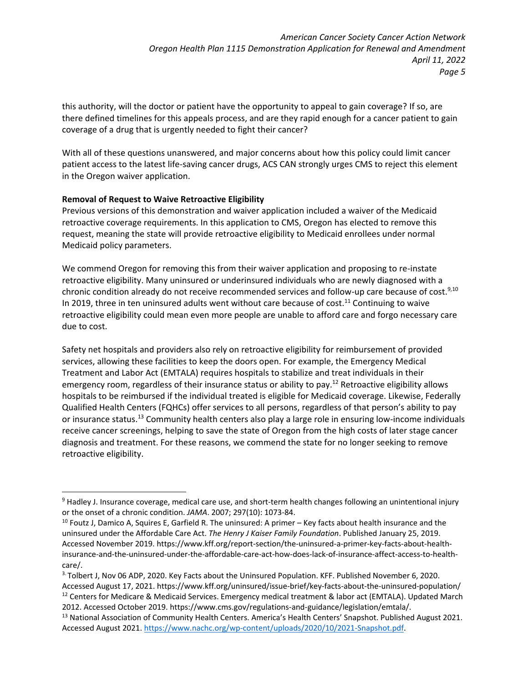this authority, will the doctor or patient have the opportunity to appeal to gain coverage? If so, are there defined timelines for this appeals process, and are they rapid enough for a cancer patient to gain coverage of a drug that is urgently needed to fight their cancer?

With all of these questions unanswered, and major concerns about how this policy could limit cancer patient access to the latest life-saving cancer drugs, ACS CAN strongly urges CMS to reject this element in the Oregon waiver application.

# **Removal of Request to Waive Retroactive Eligibility**

Previous versions of this demonstration and waiver application included a waiver of the Medicaid retroactive coverage requirements. In this application to CMS, Oregon has elected to remove this request, meaning the state will provide retroactive eligibility to Medicaid enrollees under normal Medicaid policy parameters.

We commend Oregon for removing this from their waiver application and proposing to re-instate retroactive eligibility. Many uninsured or underinsured individuals who are newly diagnosed with a chronic condition already do not receive recommended services and follow-up care because of cost.<sup>9,10</sup> In 2019, three in ten uninsured adults went without care because of cost.<sup>11</sup> Continuing to waive retroactive eligibility could mean even more people are unable to afford care and forgo necessary care due to cost.

Safety net hospitals and providers also rely on retroactive eligibility for reimbursement of provided services, allowing these facilities to keep the doors open. For example, the Emergency Medical Treatment and Labor Act (EMTALA) requires hospitals to stabilize and treat individuals in their emergency room, regardless of their insurance status or ability to pay.<sup>12</sup> Retroactive eligibility allows hospitals to be reimbursed if the individual treated is eligible for Medicaid coverage. Likewise, Federally Qualified Health Centers (FQHCs) offer services to all persons, regardless of that person's ability to pay or insurance status.<sup>13</sup> Community health centers also play a large role in ensuring low-income individuals receive cancer screenings, helping to save the state of Oregon from the high costs of later stage cancer diagnosis and treatment. For these reasons, we commend the state for no longer seeking to remove retroactive eligibility.

 $9$  Hadley J. Insurance coverage, medical care use, and short-term health changes following an unintentional injury or the onset of a chronic condition. *JAMA*. 2007; 297(10): 1073-84.

<sup>10</sup> Foutz J, Damico A, Squires E, Garfield R. The uninsured: A primer – Key facts about health insurance and the uninsured under the Affordable Care Act. *The Henry J Kaiser Family Foundation*. Published January 25, 2019. Accessed November 2019. https://www.kff.org/report-section/the-uninsured-a-primer-key-facts-about-healthinsurance-and-the-uninsured-under-the-affordable-care-act-how-does-lack-of-insurance-affect-access-to-healthcare/.

<sup>3.</sup> Tolbert J, Nov 06 ADP, 2020. Key Facts about the Uninsured Population. KFF. Published November 6, 2020. Accessed August 17, 2021.<https://www.kff.org/uninsured/issue-brief/key-facts-about-the-uninsured-population/> <sup>12</sup> Centers for Medicare & Medicaid Services. Emergency medical treatment & labor act (EMTALA). Updated March 2012. Accessed October 2019. https://www.cms.gov/regulations-and-guidance/legislation/emtala/.

<sup>&</sup>lt;sup>13</sup> National Association of Community Health Centers. America's Health Centers' Snapshot. Published August 2021. Accessed August 2021. [https://www.nachc.org/wp-content/uploads/2020/10/2021-Snapshot.pdf.](https://www.nachc.org/wp-content/uploads/2020/10/2021-Snapshot.pdf)